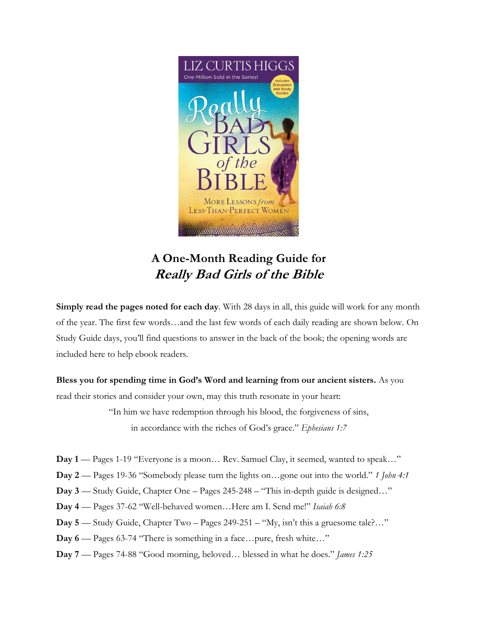

## **A One-Month Reading Guide for Really Bad Girls of the Bible**

**Simply read the pages noted for each day**. With 28 days in all, this guide will work for any month of the year. The first few words…and the last few words of each daily reading are shown below. On Study Guide days, you'll find questions to answer in the back of the book; the opening words are included here to help ebook readers.

**Bless you for spending time in God's Word and learning from our ancient sisters.** As you read their stories and consider your own, may this truth resonate in your heart:

> "In him we have redemption through his blood, the forgiveness of sins, in accordance with the riches of God's grace." *Ephesians 1:7*

- **Day 1** Pages 1-19 "Everyone is a moon… Rev. Samuel Clay, it seemed, wanted to speak…"
- **Day 2** Pages 19-36 "Somebody please turn the lights on…gone out into the world." *1 John 4:1*
- **Day 3** Study Guide, Chapter One Pages 245-248 "This in-depth guide is designed…"
- **Day 4** Pages 37-62 "Well-behaved women…Here am I. Send me!" *Isaiah 6:8*
- **Day 5** Study Guide, Chapter Two Pages 249-251 "My, isn't this a gruesome tale?…"
- **Day 6** Pages 63-74 "There is something in a face…pure, fresh white…"
- **Day 7** Pages 74-88 "Good morning, beloved… blessed in what he does." *James 1:25*